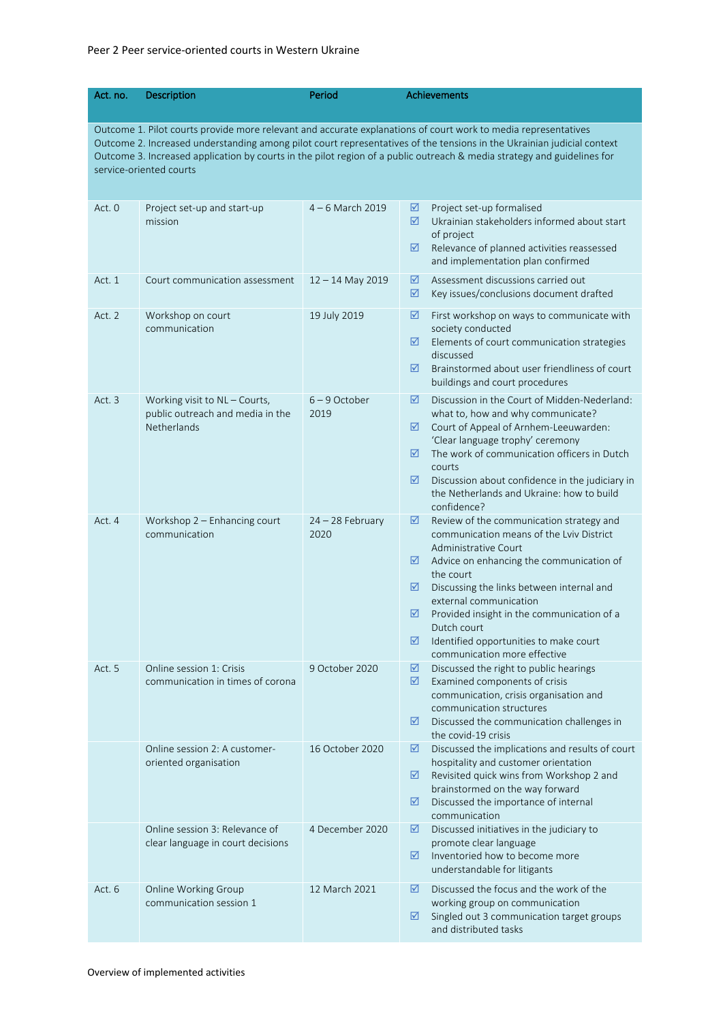## Peer 2 Peer service-oriented courts in Western Ukraine

| Act. no.                                                                                                                                                                                                                                                                                                                                                                                       | <b>Description</b>                                                               | Period                     | <b>Achievements</b>                                                                                                                                                                                                                                                                                                                                                                                          |  |  |  |
|------------------------------------------------------------------------------------------------------------------------------------------------------------------------------------------------------------------------------------------------------------------------------------------------------------------------------------------------------------------------------------------------|----------------------------------------------------------------------------------|----------------------------|--------------------------------------------------------------------------------------------------------------------------------------------------------------------------------------------------------------------------------------------------------------------------------------------------------------------------------------------------------------------------------------------------------------|--|--|--|
| Outcome 1. Pilot courts provide more relevant and accurate explanations of court work to media representatives<br>Outcome 2. Increased understanding among pilot court representatives of the tensions in the Ukrainian judicial context<br>Outcome 3. Increased application by courts in the pilot region of a public outreach & media strategy and guidelines for<br>service-oriented courts |                                                                                  |                            |                                                                                                                                                                                                                                                                                                                                                                                                              |  |  |  |
| Act. 0                                                                                                                                                                                                                                                                                                                                                                                         | Project set-up and start-up<br>mission                                           | $4 - 6$ March 2019         | Project set-up formalised<br>☑<br>☑<br>Ukrainian stakeholders informed about start<br>of project<br>Relevance of planned activities reassessed<br>☑<br>and implementation plan confirmed                                                                                                                                                                                                                     |  |  |  |
| Act. 1                                                                                                                                                                                                                                                                                                                                                                                         | Court communication assessment                                                   | $12 - 14$ May 2019         | Assessment discussions carried out<br>☑<br>Key issues/conclusions document drafted<br>☑                                                                                                                                                                                                                                                                                                                      |  |  |  |
| Act. 2                                                                                                                                                                                                                                                                                                                                                                                         | Workshop on court<br>communication                                               | 19 July 2019               | First workshop on ways to communicate with<br>☑<br>society conducted<br>☑<br>Elements of court communication strategies<br>discussed<br>Brainstormed about user friendliness of court<br>☑<br>buildings and court procedures                                                                                                                                                                                 |  |  |  |
| Act. 3                                                                                                                                                                                                                                                                                                                                                                                         | Working visit to NL - Courts,<br>public outreach and media in the<br>Netherlands | $6 - 9$ October<br>2019    | Discussion in the Court of Midden-Nederland:<br>☑<br>what to, how and why communicate?<br>☑<br>Court of Appeal of Arnhem-Leeuwarden:<br>'Clear language trophy' ceremony<br>The work of communication officers in Dutch<br>☑<br>courts<br>☑<br>Discussion about confidence in the judiciary in<br>the Netherlands and Ukraine: how to build<br>confidence?                                                   |  |  |  |
| Act. 4                                                                                                                                                                                                                                                                                                                                                                                         | Workshop $2$ – Enhancing court<br>communication                                  | $24 - 28$ February<br>2020 | Review of the communication strategy and<br>☑<br>communication means of the Lviv District<br>Administrative Court<br>Advice on enhancing the communication of<br>⊻<br>the court<br>☑<br>Discussing the links between internal and<br>external communication<br>☑<br>Provided insight in the communication of a<br>Dutch court<br>Identified opportunities to make court<br>☑<br>communication more effective |  |  |  |
| Act. 5                                                                                                                                                                                                                                                                                                                                                                                         | Online session 1: Crisis<br>communication in times of corona                     | 9 October 2020             | ☑<br>Discussed the right to public hearings<br>☑<br>Examined components of crisis<br>communication, crisis organisation and<br>communication structures<br>☑<br>Discussed the communication challenges in<br>the covid-19 crisis                                                                                                                                                                             |  |  |  |
|                                                                                                                                                                                                                                                                                                                                                                                                | Online session 2: A customer-<br>oriented organisation                           | 16 October 2020            | Discussed the implications and results of court<br>☑<br>hospitality and customer orientation<br>Revisited quick wins from Workshop 2 and<br>☑<br>brainstormed on the way forward<br>☑<br>Discussed the importance of internal<br>communication                                                                                                                                                               |  |  |  |
|                                                                                                                                                                                                                                                                                                                                                                                                | Online session 3: Relevance of<br>clear language in court decisions              | 4 December 2020            | ☑<br>Discussed initiatives in the judiciary to<br>promote clear language<br>Inventoried how to become more<br>☑<br>understandable for litigants                                                                                                                                                                                                                                                              |  |  |  |
| Act. 6                                                                                                                                                                                                                                                                                                                                                                                         | Online Working Group<br>communication session 1                                  | 12 March 2021              | Discussed the focus and the work of the<br>☑<br>working group on communication<br>Singled out 3 communication target groups<br>☑<br>and distributed tasks                                                                                                                                                                                                                                                    |  |  |  |